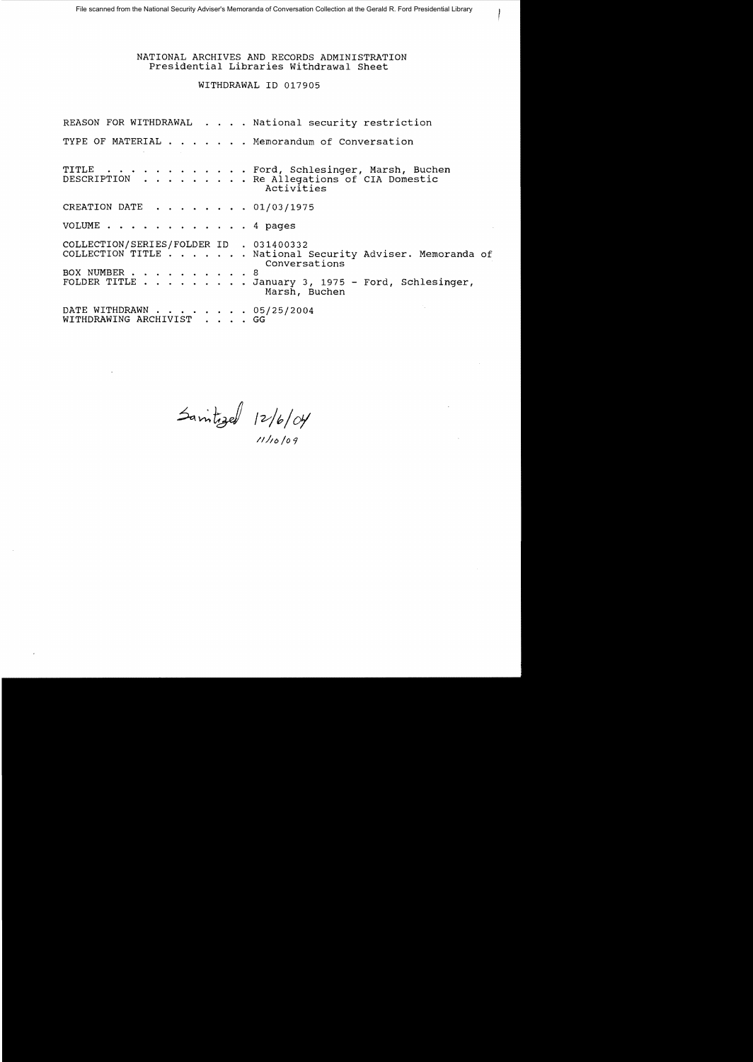## NATIONAL ARCHIVES AND RECORDS ADMINISTRATION Presidential Libraries Withdrawal Sheet

### WITHDRAWAL ID 017905

REASON FOR WITHDRAWAL . . . . National security restriction TYPE OF MATERIAL . . . . . . Memorandum of Conversation TITLE . . . . . . . . . . . . Ford, Schlesinger, Marsh, Buchen<br>DESCRIPTION . . . . . . . . Re Allegations of CIA Domestic . Re Allegations of CIA Domestic Activities CREATION DATE  $\ldots$   $\ldots$   $\ldots$  01/03/1975 VOLUME . . . 4 pages COLLECTION/SERIES/FOLDER ID . 031400332<br>COLLECTION TITLE . . . . . . National: . National Security Adviser. Memoranda of Conversations BOX NUMBER . . . . . . . . . . 8<br>FOLDER TITLE . . . . . . . . J . January 3, 1975 - Ford, Schlesinger, Marsh, Buchen DATE WITHDRAWN . . . . . . . . 05/25/2004<br>WITHDRAWING ARCHIVIST . . . . GG WITHDRAWING ARCHIVIST .

Sanitized 12/6/04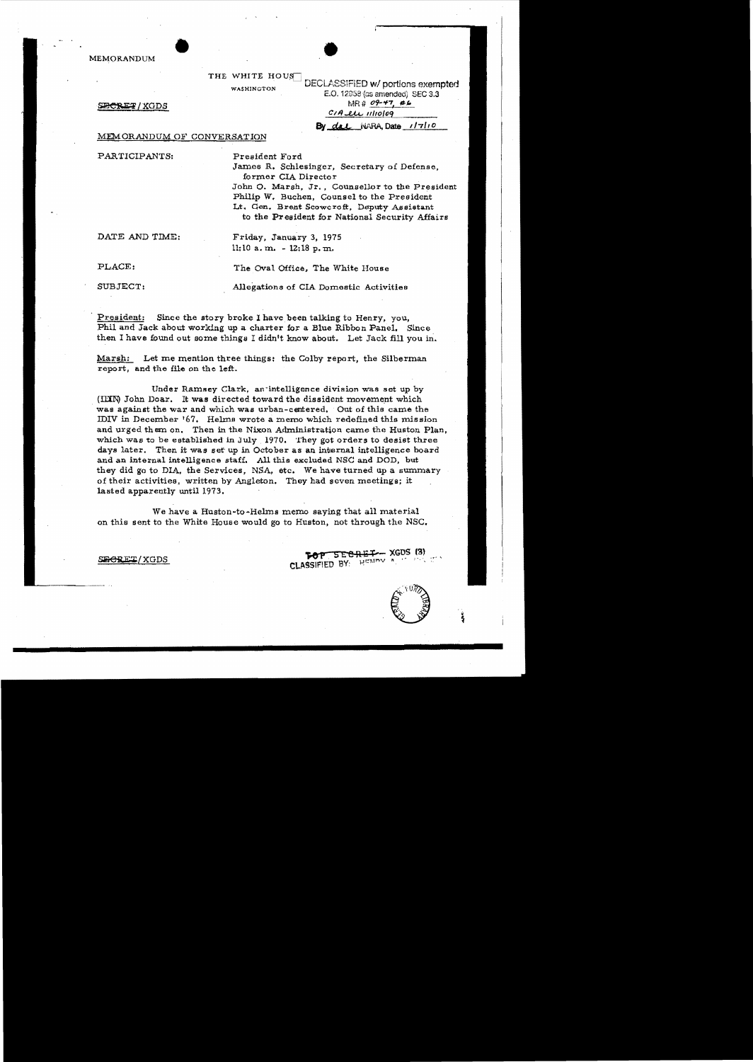MEMORANDUM

#### THE WHITE HOUS

WASHINGTON DECLASSIFIED W/ portions exempted E.O. 12958 (as amended) SEC 3.3  $\angle$ **XGDS** MR it  $\angle$  *09-47, #L.*  $CIA$ *LLL*  $IIIIOIOQ$ By dal *WARA* Date  $1/7110$ 

MEMORANDUM OF CONVERSATION

PARTICIPANTS: President Ford

James R. Schlesinger, Secretary of Defense, former CIA Director

John O. Marsh, Jr., Counsellor to the President Philip W. Buchen, Counsel to the President Lt. Gen. Brent Scowcroft, Deputy Assistant to the President for National Security Affairs

DATE AND TIME: Friday, January 3, 1975  $11:10$  a.m.  $-12:18$  p.m.

PLACE: The Oval Office. The White House

SUBJECT: Allegations of CIA Domestic Activities

President: Since the story broke I have been talking to Henry, you, Phil and Jack about working up a charter for a Blue Ribbon Panel. Since then I have found out some things I didn't know about. Let Jack fill you in.

Marsh: Let me mention three things: the Colby report, the Silberman report, and the file on the left.

Under Ramsey Clark, an intelligence division was set up by (IIIN) John Doar. It was directed toward the dissident movement which was against the war and which was urban-centered. Out of this came the IDIV in December '67. Helms wrote a memo which redefined this mission and urged them on. Then in the Nixon Administration came the Huston Plan, which was to be established in July  $1970.$  They got orders to desist three days later. Then it was set up in October as an internal intelligence board and an internal intelligence staff. All this excluded NSC and DOD, but they did go to DIA, the Services, NSA, etc. We have turned up a summary of their activities, written by Angleton. They had seven meetings; it lasted apparently until 1973.

We have a Huston-to-Helms memo saying that all material on this sent to the White House would go to Huston, not through the NBC.

**FOP SECRET/XGDS TOP SECRET-** XGDS (3)

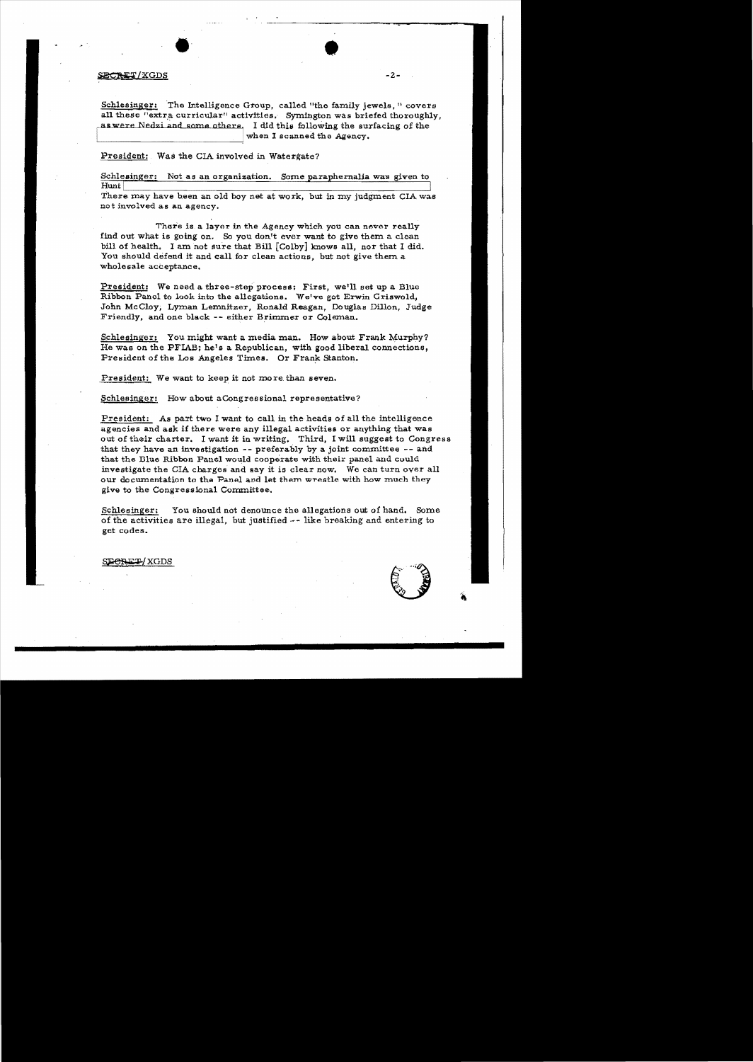### SECRET/XGDS

Schlesinger: The Intelligence Group, called "the family jewels," covers all these "extra curricular" activities. Symington was briefed thoroughly, as were Nedzi and some others. I did this following the surfacing of the when I scanned the Agency.

President: Was the CIA involved in Watergate?

Schlesinger: Not as an organization. Some paraphernalia was given to Hunt |

There may have been an old boy net at work, but in my judgment CIA was not involved as an agency.

There is a layer in the Agency which you can never really find out what is going on. So you don't ever want to give them a clean bill of health. I am not sure that Bill [Colby] knows all, nor that I did. You should defend it and call for clean actions, but not give them a wholesale acceptance.

President: We need a three-step process: First, we'll set up a Blue Ribbon Panel to look into the allegations. We've got Erwin Griswold, John McCloy, Lyman Lemnitzer, Ronald Reagan, Douglas Dillon, Judge Friendly, and one black -- either Brimmer or Coleman.

Schlesinger: You might want a media man. How about Frank Murphy? He was on the PFIAB; he's a Republican, with good liberal connections, President of the Los Angeles Times. Or Frank Stanton.

President: We want to keep it not more than seven.

Schlesinger: How about aCongressional representative?

President: As part two I want to call in the heads of all the intelligence agencies and ask if there were any illegal activities or anything that was out of their charter. I want it in writing. Third, I will suggest to Congress that they have an investigation -- preferably by a joint committee -- and that the Blue Ribbon Panel would cooperate with their panel and could investigate the CIA charges and say it is clear now. We can turn over all our documentation to the Panel and let them wrestle with how much they give to the Congressional Committee.

Schlesinger: You should not denounce the allegations out of hand, Some of the activities are illegal, but justified -- like breaking and entering to get codes.

SECRET/XGDS

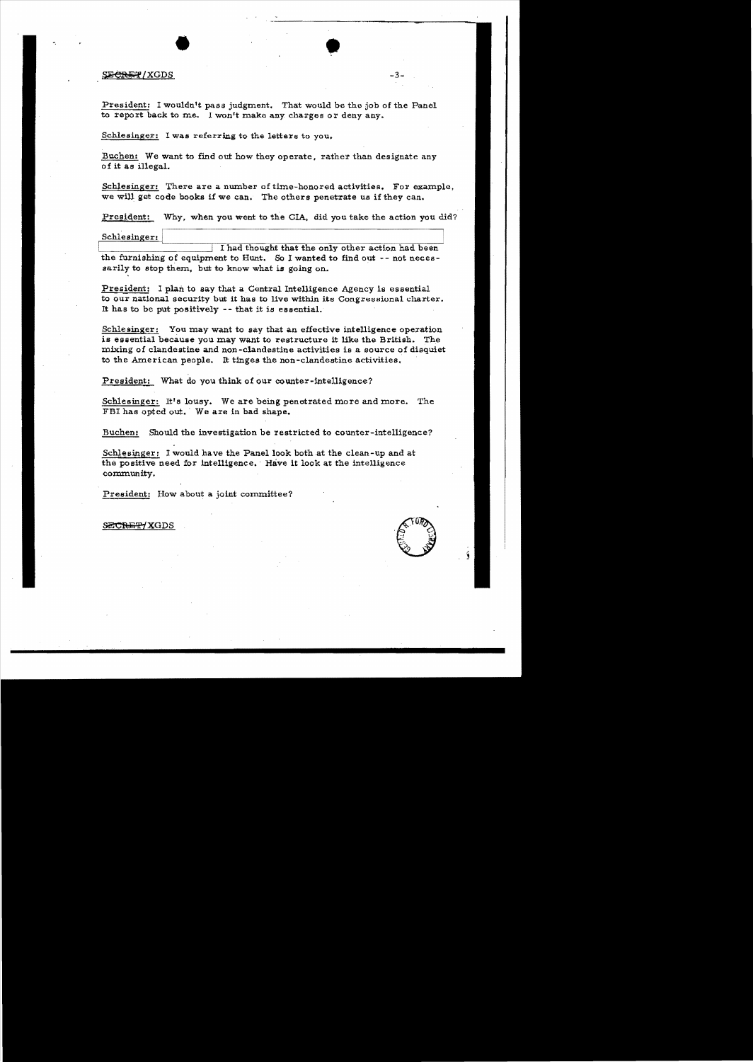### $\frac{1}{2}$   $\frac{1}{2}$   $\frac{1}{2}$   $\frac{1}{2}$   $\frac{1}{2}$   $\frac{1}{2}$   $\frac{1}{2}$   $\frac{1}{2}$   $\frac{1}{2}$   $\frac{1}{2}$   $\frac{1}{2}$   $\frac{1}{2}$   $\frac{1}{2}$   $\frac{1}{2}$   $\frac{1}{2}$   $\frac{1}{2}$   $\frac{1}{2}$   $\frac{1}{2}$   $\frac{1}{2}$   $\frac{1}{2}$   $\frac{1}{2}$   $\frac{1}{2}$

-,

President: I wouldn't pass judgment. That would be the job of the Panel to report back to me. 1 won't make any charges or deny any.

Schlesinger: I was referring to the letters to you.

Buchen: We want to find out how they operate, rather than designate any of it as illegal.

Schlesinger: There are a number of time-honored activities. For example, we will get code books if we can. The others penetrate us if they can.

President: Why, when you went to the CIA. did you take the action you did?

Schlesinger:

I had thought that the only other action had been the furnishing of equipment to Hunt. So I wanted to find out  $-$ - not necessarily to atop them. but to know what is going on.

President: I plan to say that a Central Intelligence Agency is essential to our national security but it has to live within its Congressional charter. It has to be put positively - - that it is essential.

Schlesinger: You may want to say that an effective intelligence operation is essential because you may want to restructure it like the British. The mixing of clandestine and non-clandestine activities is a source of disquiet to the American people. It tinges the non-clandestine activities.

President: What do you think of our counter-intelligence?

Schlesinger: It's lousy. We are being penetrated more and more. The FBI haa opted out.' We are in bad shape.

Buchen: Should the investigation be restricted to counter-intelligence?

Schlesinger: I would have the Panel look both at the clean-up and at the positive need for intelligence. 'Have it look at the intelligence community.

President: How about a joint committee? President: How about a joint committee?<br>SECRET/XGDS

 $0\hbar$  $\sim$  t. '':. ,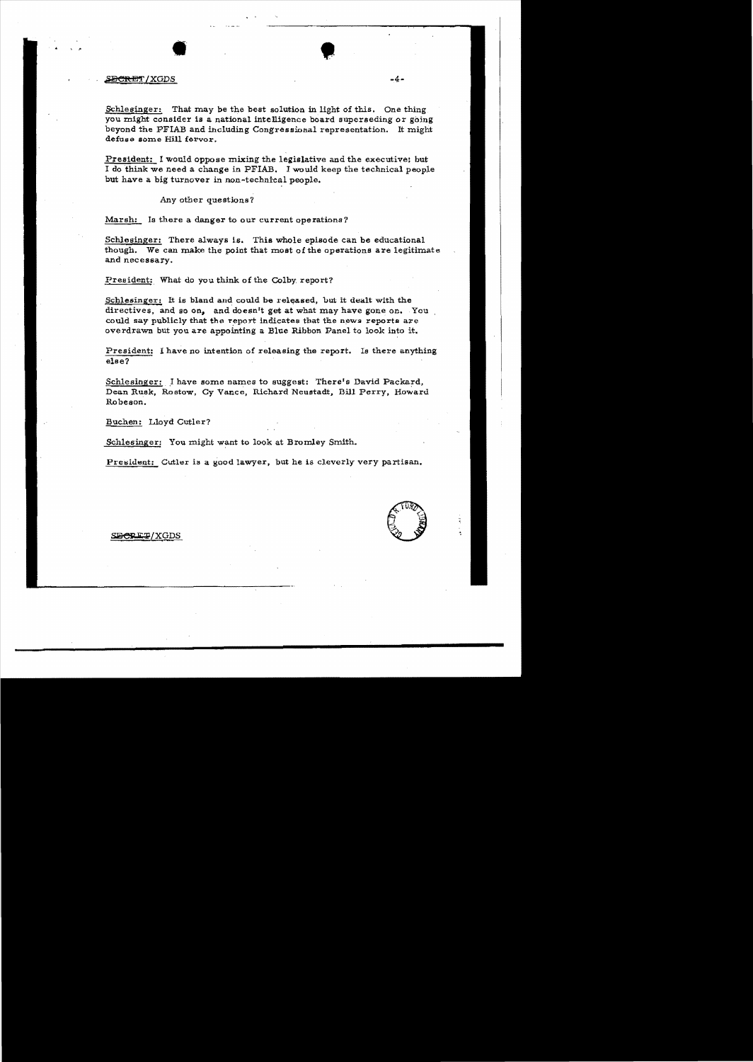#### S<del>ECRE</del>T/XGDS

Schlesinger: That may be the best solution in light of this. One thing you might consider is a national intelligence board superseding or going beyond the PFIAB and including Congressional representation. It might defuse some Hill fervor.

President: I would oppose mixing the legislative and the executive; but I do think we need a change in PFIAB. I would keep the technical people but have a big turnover in non-technical people.

Any other questions?

Marsh: Is there a danger to our current operations?

Schlesinger: There always is. This whole episode can be educational though. We can make the point that most of the operations are legitimate and necessary.

President: What do you think of the Colby report?

Schlesinger: It is bland and could be released, but it dealt with the directives, and so on, and doesn't get at what may have gone on. You could say publicly that the report indicates that the news reports are overdrawn but you are appointing a Blue Ribbon Panel to look into it.

President: I have no intention of releasing the report. Is there anything else?

Schlesinger: I have some names to suggest: There's David Packard. Dean Rusk, Rostow, Cy Vance, Richard Neustadt, Bill Perry, Howard Robeson.

Buchen: Lloyd Cutler?

Schlesinger: You might want to look at Bromley Smith.

President: Cutler is a good lawyer, but he is cleverly very partisan.



-4-

S<del>ECRET</del>/XGDS